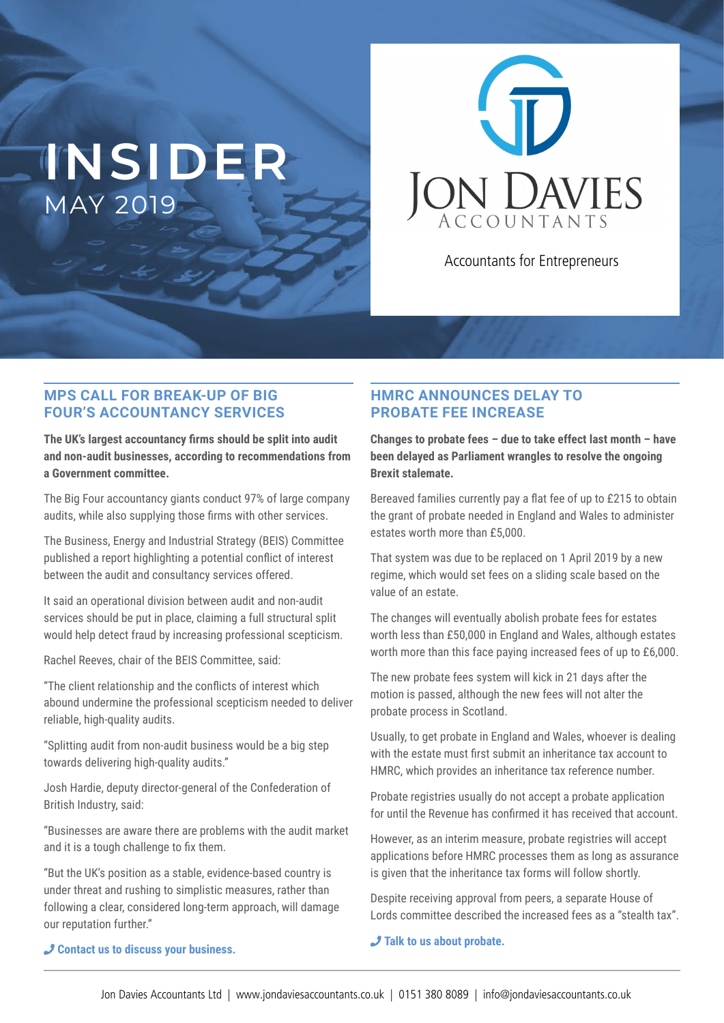# **INSIDER** MAY 2019



Accountants for Entrepreneurs

#### **MPS CALL FOR BREAK-UP OF BIG FOUR'S ACCOUNTANCY SERVICES**

**The UK's largest accountancy irms should be split into audit and non-audit businesses, according to recommendations from a Government committee.**

The Big Four accountancy giants conduct 97% of large company audits, while also supplying those firms with other services.

The Business, Energy and Industrial Strategy (BEIS) Committee published a report highlighting a potential conflict of interest between the audit and consultancy services offered.

It said an operational division between audit and non-audit services should be put in place, claiming a full structural split would help detect fraud by increasing professional scepticism.

Rachel Reeves, chair of the BEIS Committee, said:

"The client relationship and the conflicts of interest which abound undermine the professional scepticism needed to deliver reliable, high-quality audits.

"Splitting audit from non-audit business would be a big step towards delivering high-quality audits."

Josh Hardie, deputy director-general of the Confederation of British Industry, said:

"Businesses are aware there are problems with the audit market and it is a tough challenge to fix them.

"But the UK's position as a stable, evidence-based country is under threat and rushing to simplistic measures, rather than following a clear, considered long-term approach, will damage our reputation further."

#### **HMRC ANNOUNCES DELAY TO PROBATE FEE INCREASE**

**Changes to probate fees – due to take effect last month – have been delayed as Parliament wrangles to resolve the ongoing Brexit stalemate.**

Bereaved families currently pay a flat fee of up to £215 to obtain the grant of probate needed in England and Wales to administer estates worth more than £5,000.

That system was due to be replaced on 1 April 2019 by a new regime, which would set fees on a sliding scale based on the value of an estate.

The changes will eventually abolish probate fees for estates worth less than £50,000 in England and Wales, although estates worth more than this face paying increased fees of up to £6,000.

The new probate fees system will kick in 21 days after the motion is passed, although the new fees will not alter the probate process in Scotland.

Usually, to get probate in England and Wales, whoever is dealing with the estate must first submit an inheritance tax account to HMRC, which provides an inheritance tax reference number.

Probate registries usually do not accept a probate application for until the Revenue has confirmed it has received that account.

However, as an interim measure, probate registries will accept applications before HMRC processes them as long as assurance is given that the inheritance tax forms will follow shortly.

Despite receiving approval from peers, a separate House of Lords committee described the increased fees as a "stealth tax".

#### ¶ **Talk to us about probate.**

#### ¶ **Contact us to discuss your business.**